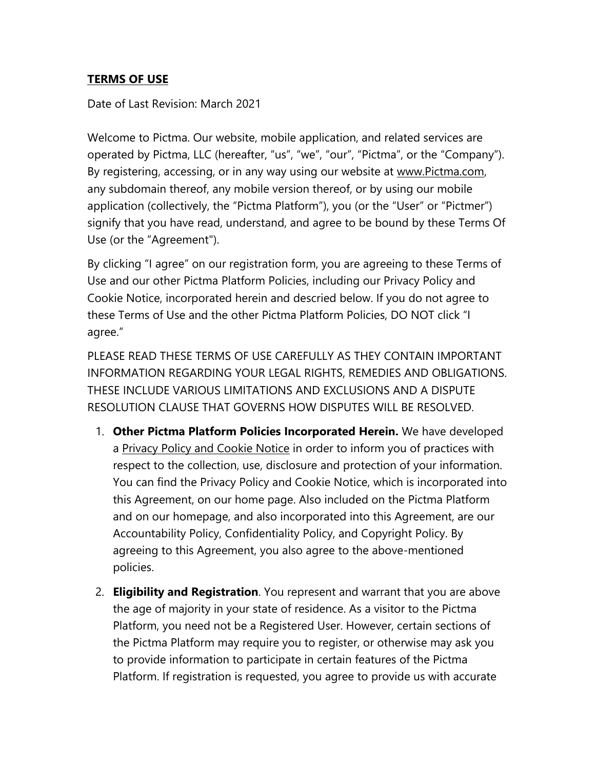# **TERMS OF USE**

Date of Last Revision: March 2021

Welcome to Pictma. Our website, mobile application, and related services are operated by Pictma, LLC (hereafter, "us", "we", "our", "Pictma", or the "Company"). By registering, accessing, or in any way using our website at www.Pictma.com, any subdomain thereof, any mobile version thereof, or by using our mobile application (collectively, the "Pictma Platform"), you (or the "User" or "Pictmer") signify that you have read, understand, and agree to be bound by these Terms Of Use (or the "Agreement").

By clicking "I agree" on our registration form, you are agreeing to these Terms of Use and our other Pictma Platform Policies, including our Privacy Policy and Cookie Notice, incorporated herein and descried below. If you do not agree to these Terms of Use and the other Pictma Platform Policies, DO NOT click "I agree."

PLEASE READ THESE TERMS OF USE CAREFULLY AS THEY CONTAIN IMPORTANT INFORMATION REGARDING YOUR LEGAL RIGHTS, REMEDIES AND OBLIGATIONS. THESE INCLUDE VARIOUS LIMITATIONS AND EXCLUSIONS AND A DISPUTE RESOLUTION CLAUSE THAT GOVERNS HOW DISPUTES WILL BE RESOLVED.

- 1. **Other Pictma Platform Policies Incorporated Herein.** We have developed a Privacy Policy and Cookie Notice in order to inform you of practices with respect to the collection, use, disclosure and protection of your information. You can find the Privacy Policy and Cookie Notice, which is incorporated into this Agreement, on our home page. Also included on the Pictma Platform and on our homepage, and also incorporated into this Agreement, are our Accountability Policy, Confidentiality Policy, and Copyright Policy. By agreeing to this Agreement, you also agree to the above-mentioned policies.
- 2. **Eligibility and Registration**. You represent and warrant that you are above the age of majority in your state of residence. As a visitor to the Pictma Platform, you need not be a Registered User. However, certain sections of the Pictma Platform may require you to register, or otherwise may ask you to provide information to participate in certain features of the Pictma Platform. If registration is requested, you agree to provide us with accurate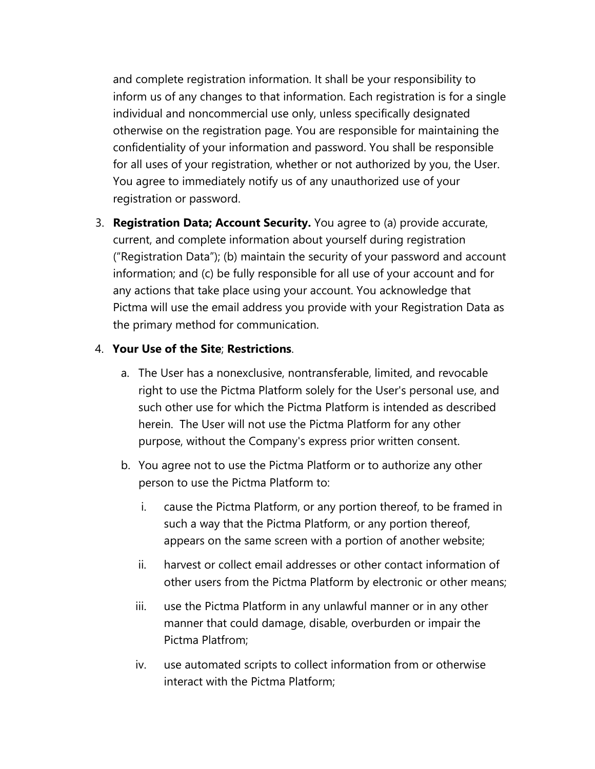and complete registration information. It shall be your responsibility to inform us of any changes to that information. Each registration is for a single individual and noncommercial use only, unless specifically designated otherwise on the registration page. You are responsible for maintaining the confidentiality of your information and password. You shall be responsible for all uses of your registration, whether or not authorized by you, the User. You agree to immediately notify us of any unauthorized use of your registration or password.

3. **Registration Data; Account Security.** You agree to (a) provide accurate, current, and complete information about yourself during registration ("Registration Data"); (b) maintain the security of your password and account information; and (c) be fully responsible for all use of your account and for any actions that take place using your account. You acknowledge that Pictma will use the email address you provide with your Registration Data as the primary method for communication.

#### 4. **Your Use of the Site**; **Restrictions**.

- a. The User has a nonexclusive, nontransferable, limited, and revocable right to use the Pictma Platform solely for the User's personal use, and such other use for which the Pictma Platform is intended as described herein. The User will not use the Pictma Platform for any other purpose, without the Company's express prior written consent.
- b. You agree not to use the Pictma Platform or to authorize any other person to use the Pictma Platform to:
	- i. cause the Pictma Platform, or any portion thereof, to be framed in such a way that the Pictma Platform, or any portion thereof, appears on the same screen with a portion of another website;
	- ii. harvest or collect email addresses or other contact information of other users from the Pictma Platform by electronic or other means;
	- iii. use the Pictma Platform in any unlawful manner or in any other manner that could damage, disable, overburden or impair the Pictma Platfrom;
	- iv. use automated scripts to collect information from or otherwise interact with the Pictma Platform;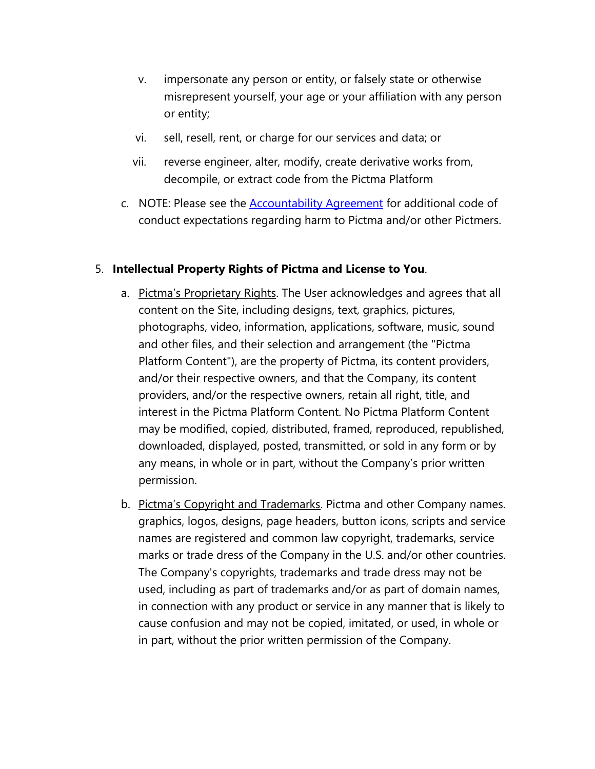- v. impersonate any person or entity, or falsely state or otherwise misrepresent yourself, your age or your affiliation with any person or entity;
- vi. sell, resell, rent, or charge for our services and data; or
- vii. reverse engineer, alter, modify, create derivative works from, decompile, or extract code from the Pictma Platform
- c. NOTE: Please see the [Accountability Agreement](https://pictma.com/pictma-privacy-policy/#AccountabilityAgreement) for additional code of conduct expectations regarding harm to Pictma and/or other Pictmers.

## 5. **Intellectual Property Rights of Pictma and License to You**.

- a. Pictma's Proprietary Rights. The User acknowledges and agrees that all content on the Site, including designs, text, graphics, pictures, photographs, video, information, applications, software, music, sound and other files, and their selection and arrangement (the "Pictma Platform Content"), are the property of Pictma, its content providers, and/or their respective owners, and that the Company, its content providers, and/or the respective owners, retain all right, title, and interest in the Pictma Platform Content. No Pictma Platform Content may be modified, copied, distributed, framed, reproduced, republished, downloaded, displayed, posted, transmitted, or sold in any form or by any means, in whole or in part, without the Company's prior written permission.
- b. Pictma's Copyright and Trademarks. Pictma and other Company names. graphics, logos, designs, page headers, button icons, scripts and service names are registered and common law copyright, trademarks, service marks or trade dress of the Company in the U.S. and/or other countries. The Company's copyrights, trademarks and trade dress may not be used, including as part of trademarks and/or as part of domain names, in connection with any product or service in any manner that is likely to cause confusion and may not be copied, imitated, or used, in whole or in part, without the prior written permission of the Company.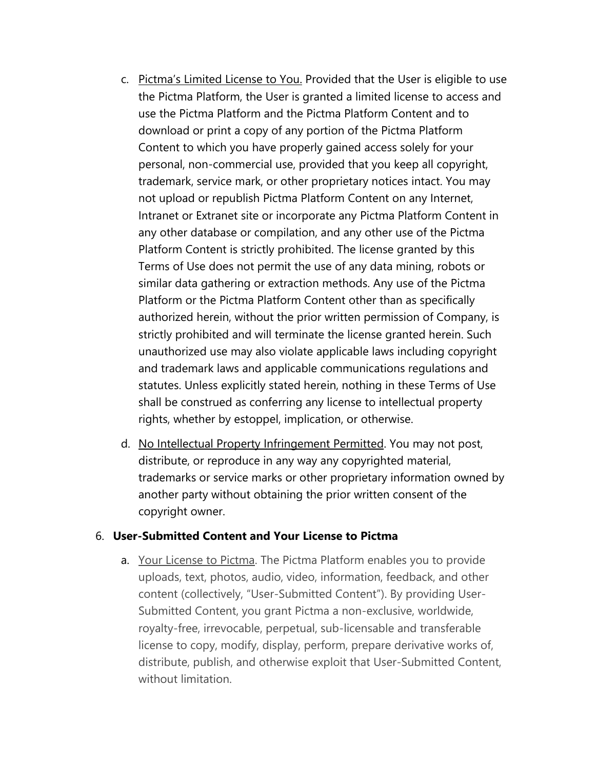- c. Pictma's Limited License to You. Provided that the User is eligible to use the Pictma Platform, the User is granted a limited license to access and use the Pictma Platform and the Pictma Platform Content and to download or print a copy of any portion of the Pictma Platform Content to which you have properly gained access solely for your personal, non-commercial use, provided that you keep all copyright, trademark, service mark, or other proprietary notices intact. You may not upload or republish Pictma Platform Content on any Internet, Intranet or Extranet site or incorporate any Pictma Platform Content in any other database or compilation, and any other use of the Pictma Platform Content is strictly prohibited. The license granted by this Terms of Use does not permit the use of any data mining, robots or similar data gathering or extraction methods. Any use of the Pictma Platform or the Pictma Platform Content other than as specifically authorized herein, without the prior written permission of Company, is strictly prohibited and will terminate the license granted herein. Such unauthorized use may also violate applicable laws including copyright and trademark laws and applicable communications regulations and statutes. Unless explicitly stated herein, nothing in these Terms of Use shall be construed as conferring any license to intellectual property rights, whether by estoppel, implication, or otherwise.
- d. No Intellectual Property Infringement Permitted. You may not post, distribute, or reproduce in any way any copyrighted material, trademarks or service marks or other proprietary information owned by another party without obtaining the prior written consent of the copyright owner.

## 6. **User-Submitted Content and Your License to Pictma**

a. Your License to Pictma. The Pictma Platform enables you to provide uploads, text, photos, audio, video, information, feedback, and other content (collectively, "User-Submitted Content"). By providing User-Submitted Content, you grant Pictma a non-exclusive, worldwide, royalty-free, irrevocable, perpetual, sub-licensable and transferable license to copy, modify, display, perform, prepare derivative works of, distribute, publish, and otherwise exploit that User-Submitted Content, without limitation.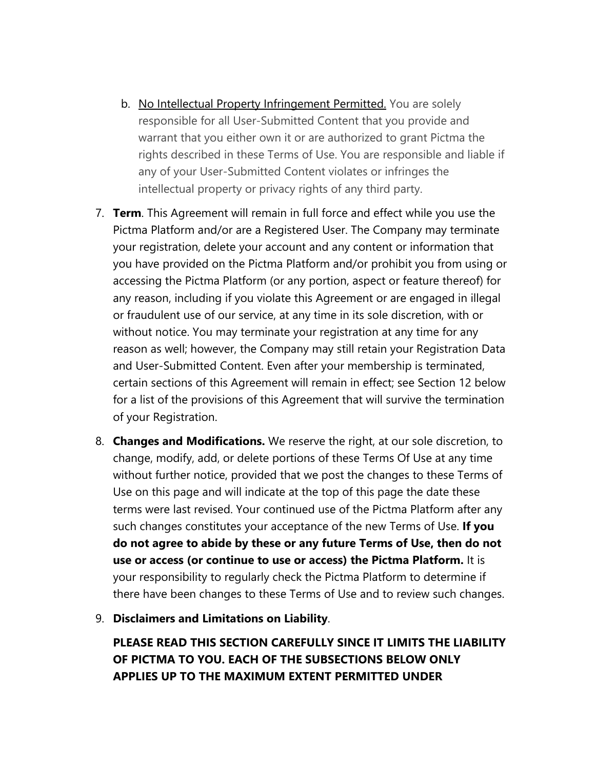- b. No Intellectual Property Infringement Permitted. You are solely responsible for all User-Submitted Content that you provide and warrant that you either own it or are authorized to grant Pictma the rights described in these Terms of Use. You are responsible and liable if any of your User-Submitted Content violates or infringes the intellectual property or privacy rights of any third party.
- 7. **Term**. This Agreement will remain in full force and effect while you use the Pictma Platform and/or are a Registered User. The Company may terminate your registration, delete your account and any content or information that you have provided on the Pictma Platform and/or prohibit you from using or accessing the Pictma Platform (or any portion, aspect or feature thereof) for any reason, including if you violate this Agreement or are engaged in illegal or fraudulent use of our service, at any time in its sole discretion, with or without notice. You may terminate your registration at any time for any reason as well; however, the Company may still retain your Registration Data and User-Submitted Content. Even after your membership is terminated, certain sections of this Agreement will remain in effect; see Section 12 below for a list of the provisions of this Agreement that will survive the termination of your Registration.
- 8. **Changes and Modifications.** We reserve the right, at our sole discretion, to change, modify, add, or delete portions of these Terms Of Use at any time without further notice, provided that we post the changes to these Terms of Use on this page and will indicate at the top of this page the date these terms were last revised. Your continued use of the Pictma Platform after any such changes constitutes your acceptance of the new Terms of Use. **If you do not agree to abide by these or any future Terms of Use, then do not use or access (or continue to use or access) the Pictma Platform.** It is your responsibility to regularly check the Pictma Platform to determine if there have been changes to these Terms of Use and to review such changes.
- 9. **Disclaimers and Limitations on Liability**.

**PLEASE READ THIS SECTION CAREFULLY SINCE IT LIMITS THE LIABILITY OF PICTMA TO YOU. EACH OF THE SUBSECTIONS BELOW ONLY APPLIES UP TO THE MAXIMUM EXTENT PERMITTED UNDER**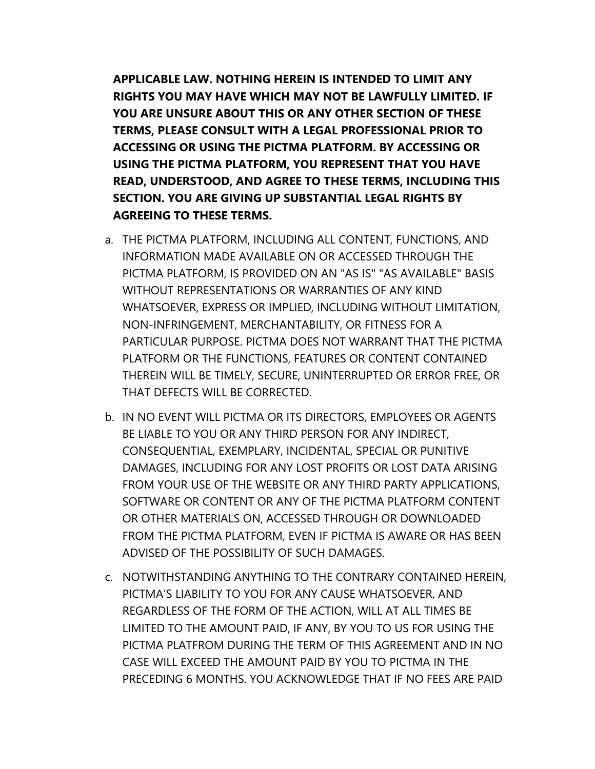**APPLICABLE LAW. NOTHING HEREIN IS INTENDED TO LIMIT ANY RIGHTS YOU MAY HAVE WHICH MAY NOT BE LAWFULLY LIMITED. IF YOU ARE UNSURE ABOUT THIS OR ANY OTHER SECTION OF THESE TERMS, PLEASE CONSULT WITH A LEGAL PROFESSIONAL PRIOR TO ACCESSING OR USING THE PICTMA PLATFORM. BY ACCESSING OR USING THE PICTMA PLATFORM, YOU REPRESENT THAT YOU HAVE READ, UNDERSTOOD, AND AGREE TO THESE TERMS, INCLUDING THIS SECTION. YOU ARE GIVING UP SUBSTANTIAL LEGAL RIGHTS BY AGREEING TO THESE TERMS.**

- a. THE PICTMA PLATFORM, INCLUDING ALL CONTENT, FUNCTIONS, AND INFORMATION MADE AVAILABLE ON OR ACCESSED THROUGH THE PICTMA PLATFORM, IS PROVIDED ON AN "AS IS" "AS AVAILABLE" BASIS WITHOUT REPRESENTATIONS OR WARRANTIES OF ANY KIND WHATSOEVER, EXPRESS OR IMPLIED, INCLUDING WITHOUT LIMITATION, NON-INFRINGEMENT, MERCHANTABILITY, OR FITNESS FOR A PARTICULAR PURPOSE. PICTMA DOES NOT WARRANT THAT THE PICTMA PLATFORM OR THE FUNCTIONS, FEATURES OR CONTENT CONTAINED THEREIN WILL BE TIMELY, SECURE, UNINTERRUPTED OR ERROR FREE, OR THAT DEFECTS WILL BE CORRECTED.
- b. IN NO EVENT WILL PICTMA OR ITS DIRECTORS, EMPLOYEES OR AGENTS BE LIABLE TO YOU OR ANY THIRD PERSON FOR ANY INDIRECT, CONSEQUENTIAL, EXEMPLARY, INCIDENTAL, SPECIAL OR PUNITIVE DAMAGES, INCLUDING FOR ANY LOST PROFITS OR LOST DATA ARISING FROM YOUR USE OF THE WEBSITE OR ANY THIRD PARTY APPLICATIONS, SOFTWARE OR CONTENT OR ANY OF THE PICTMA PLATFORM CONTENT OR OTHER MATERIALS ON, ACCESSED THROUGH OR DOWNLOADED FROM THE PICTMA PLATFORM, EVEN IF PICTMA IS AWARE OR HAS BEEN ADVISED OF THE POSSIBILITY OF SUCH DAMAGES.
- c. NOTWITHSTANDING ANYTHING TO THE CONTRARY CONTAINED HEREIN, PICTMA'S LIABILITY TO YOU FOR ANY CAUSE WHATSOEVER, AND REGARDLESS OF THE FORM OF THE ACTION, WILL AT ALL TIMES BE LIMITED TO THE AMOUNT PAID, IF ANY, BY YOU TO US FOR USING THE PICTMA PLATFROM DURING THE TERM OF THIS AGREEMENT AND IN NO CASE WILL EXCEED THE AMOUNT PAID BY YOU TO PICTMA IN THE PRECEDING 6 MONTHS. YOU ACKNOWLEDGE THAT IF NO FEES ARE PAID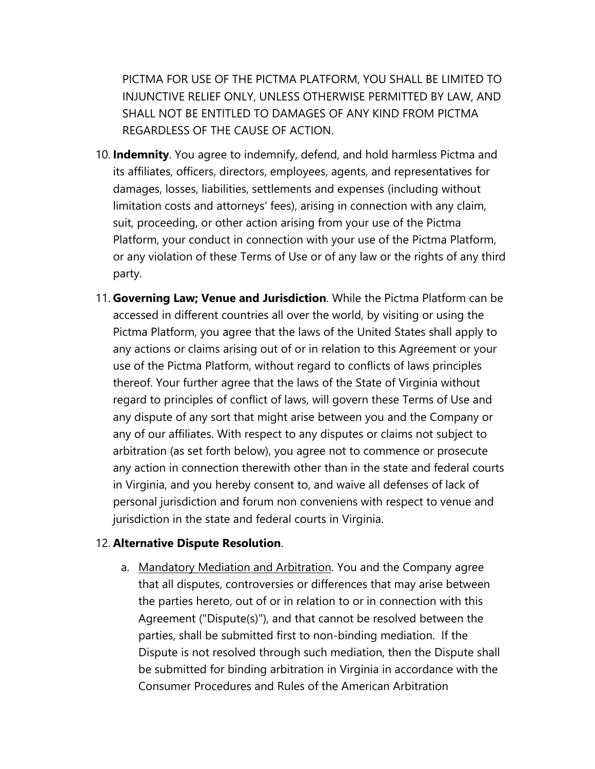PICTMA FOR USE OF THE PICTMA PLATFORM, YOU SHALL BE LIMITED TO INJUNCTIVE RELIEF ONLY, UNLESS OTHERWISE PERMITTED BY LAW, AND SHALL NOT BE ENTITLED TO DAMAGES OF ANY KIND FROM PICTMA REGARDLESS OF THE CAUSE OF ACTION.

- 10. **Indemnity**. You agree to indemnify, defend, and hold harmless Pictma and its affiliates, officers, directors, employees, agents, and representatives for damages, losses, liabilities, settlements and expenses (including without limitation costs and attorneys' fees), arising in connection with any claim, suit, proceeding, or other action arising from your use of the Pictma Platform, your conduct in connection with your use of the Pictma Platform, or any violation of these Terms of Use or of any law or the rights of any third party.
- 11. **Governing Law; Venue and Jurisdiction**. While the Pictma Platform can be accessed in different countries all over the world, by visiting or using the Pictma Platform, you agree that the laws of the United States shall apply to any actions or claims arising out of or in relation to this Agreement or your use of the Pictma Platform, without regard to conflicts of laws principles thereof. Your further agree that the laws of the State of Virginia without regard to principles of conflict of laws, will govern these Terms of Use and any dispute of any sort that might arise between you and the Company or any of our affiliates. With respect to any disputes or claims not subject to arbitration (as set forth below), you agree not to commence or prosecute any action in connection therewith other than in the state and federal courts in Virginia, and you hereby consent to, and waive all defenses of lack of personal jurisdiction and forum non conveniens with respect to venue and jurisdiction in the state and federal courts in Virginia.

#### 12. **Alternative Dispute Resolution**.

a. Mandatory Mediation and Arbitration. You and the Company agree that all disputes, controversies or differences that may arise between the parties hereto, out of or in relation to or in connection with this Agreement ("Dispute(s)"), and that cannot be resolved between the parties, shall be submitted first to non-binding mediation. If the Dispute is not resolved through such mediation, then the Dispute shall be submitted for binding arbitration in Virginia in accordance with the Consumer Procedures and Rules of the American Arbitration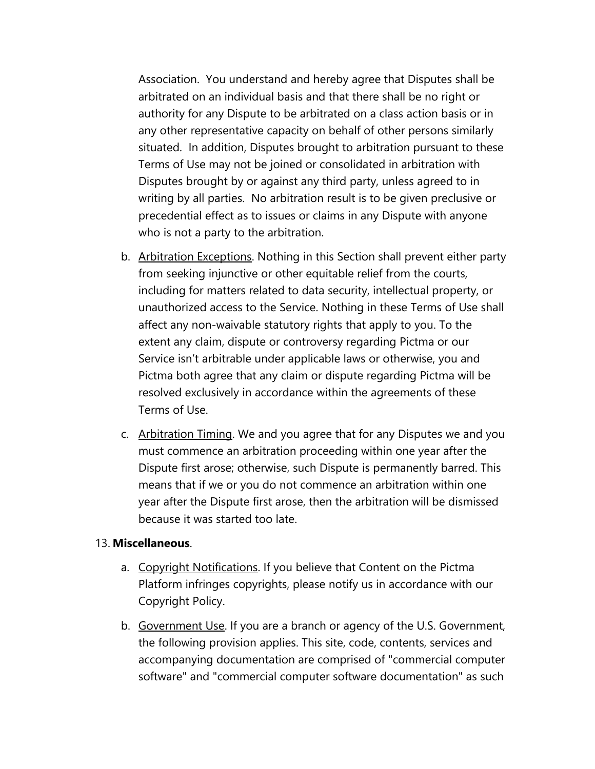Association. You understand and hereby agree that Disputes shall be arbitrated on an individual basis and that there shall be no right or authority for any Dispute to be arbitrated on a class action basis or in any other representative capacity on behalf of other persons similarly situated. In addition, Disputes brought to arbitration pursuant to these Terms of Use may not be joined or consolidated in arbitration with Disputes brought by or against any third party, unless agreed to in writing by all parties. No arbitration result is to be given preclusive or precedential effect as to issues or claims in any Dispute with anyone who is not a party to the arbitration.

- b. Arbitration Exceptions. Nothing in this Section shall prevent either party from seeking injunctive or other equitable relief from the courts, including for matters related to data security, intellectual property, or unauthorized access to the Service. Nothing in these Terms of Use shall affect any non-waivable statutory rights that apply to you. To the extent any claim, dispute or controversy regarding Pictma or our Service isn't arbitrable under applicable laws or otherwise, you and Pictma both agree that any claim or dispute regarding Pictma will be resolved exclusively in accordance within the agreements of these Terms of Use.
- c. Arbitration Timing. We and you agree that for any Disputes we and you must commence an arbitration proceeding within one year after the Dispute first arose; otherwise, such Dispute is permanently barred. This means that if we or you do not commence an arbitration within one year after the Dispute first arose, then the arbitration will be dismissed because it was started too late.

### 13. **Miscellaneous**.

- a. Copyright Notifications. If you believe that Content on the Pictma Platform infringes copyrights, please notify us in accordance with our Copyright Policy.
- b. Government Use. If you are a branch or agency of the U.S. Government, the following provision applies. This site, code, contents, services and accompanying documentation are comprised of "commercial computer software" and "commercial computer software documentation" as such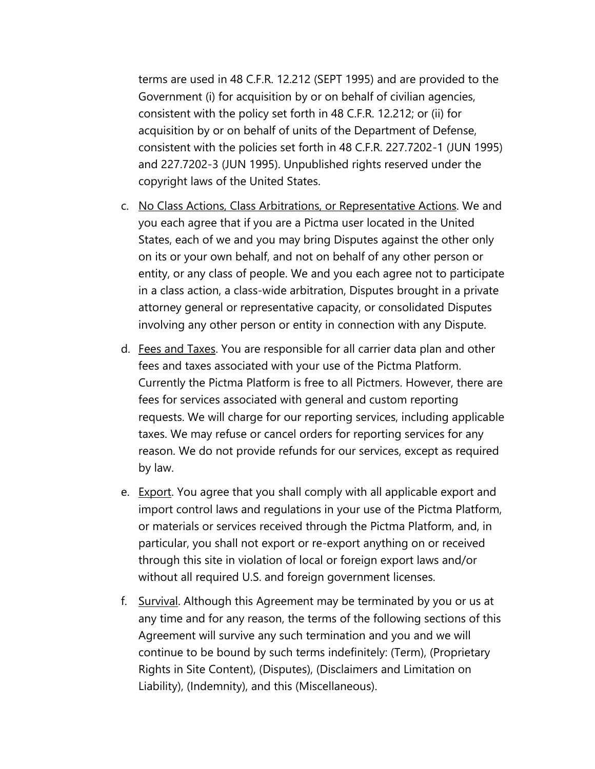terms are used in 48 C.F.R. 12.212 (SEPT 1995) and are provided to the Government (i) for acquisition by or on behalf of civilian agencies, consistent with the policy set forth in 48 C.F.R. 12.212; or (ii) for acquisition by or on behalf of units of the Department of Defense, consistent with the policies set forth in 48 C.F.R. 227.7202-1 (JUN 1995) and 227.7202-3 (JUN 1995). Unpublished rights reserved under the copyright laws of the United States.

- c. No Class Actions, Class Arbitrations, or Representative Actions. We and you each agree that if you are a Pictma user located in the United States, each of we and you may bring Disputes against the other only on its or your own behalf, and not on behalf of any other person or entity, or any class of people. We and you each agree not to participate in a class action, a class-wide arbitration, Disputes brought in a private attorney general or representative capacity, or consolidated Disputes involving any other person or entity in connection with any Dispute.
- d. Fees and Taxes. You are responsible for all carrier data plan and other fees and taxes associated with your use of the Pictma Platform. Currently the Pictma Platform is free to all Pictmers. However, there are fees for services associated with general and custom reporting requests. We will charge for our reporting services, including applicable taxes. We may refuse or cancel orders for reporting services for any reason. We do not provide refunds for our services, except as required by law.
- e. Export. You agree that you shall comply with all applicable export and import control laws and regulations in your use of the Pictma Platform, or materials or services received through the Pictma Platform, and, in particular, you shall not export or re-export anything on or received through this site in violation of local or foreign export laws and/or without all required U.S. and foreign government licenses.
- f. Survival. Although this Agreement may be terminated by you or us at any time and for any reason, the terms of the following sections of this Agreement will survive any such termination and you and we will continue to be bound by such terms indefinitely: (Term), (Proprietary Rights in Site Content), (Disputes), (Disclaimers and Limitation on Liability), (Indemnity), and this (Miscellaneous).